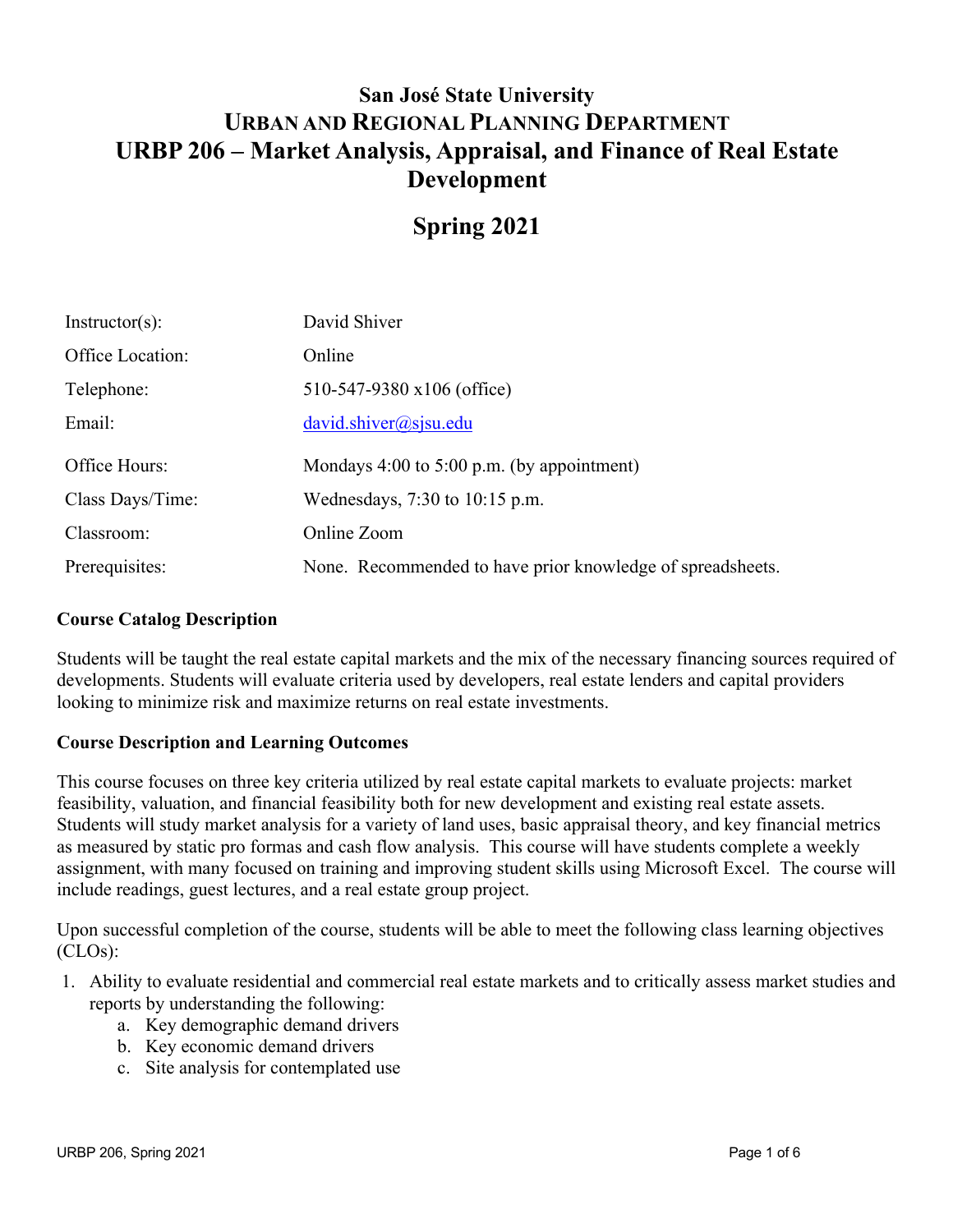## **San José State University URBAN AND REGIONAL PLANNING DEPARTMENT URBP 206 – Market Analysis, Appraisal, and Finance of Real Estate Development**

# **Spring 2021**

| $Instructor(s)$ : | David Shiver                                               |
|-------------------|------------------------------------------------------------|
| Office Location:  | Online                                                     |
| Telephone:        | 510-547-9380 x106 (office)                                 |
| Email:            | david.shiver@sisu.edu                                      |
| Office Hours:     | Mondays $4:00$ to $5:00$ p.m. (by appointment)             |
| Class Days/Time:  | Wednesdays, $7:30$ to $10:15$ p.m.                         |
| Classroom:        | Online Zoom                                                |
| Prerequisites:    | None. Recommended to have prior knowledge of spreadsheets. |

#### **Course Catalog Description**

Students will be taught the real estate capital markets and the mix of the necessary financing sources required of developments. Students will evaluate criteria used by developers, real estate lenders and capital providers looking to minimize risk and maximize returns on real estate investments.

#### **Course Description and Learning Outcomes**

This course focuses on three key criteria utilized by real estate capital markets to evaluate projects: market feasibility, valuation, and financial feasibility both for new development and existing real estate assets. Students will study market analysis for a variety of land uses, basic appraisal theory, and key financial metrics as measured by static pro formas and cash flow analysis. This course will have students complete a weekly assignment, with many focused on training and improving student skills using Microsoft Excel. The course will include readings, guest lectures, and a real estate group project.

Upon successful completion of the course, students will be able to meet the following class learning objectives (CLOs):

- 1. Ability to evaluate residential and commercial real estate markets and to critically assess market studies and reports by understanding the following:
	- a. Key demographic demand drivers
	- b. Key economic demand drivers
	- c. Site analysis for contemplated use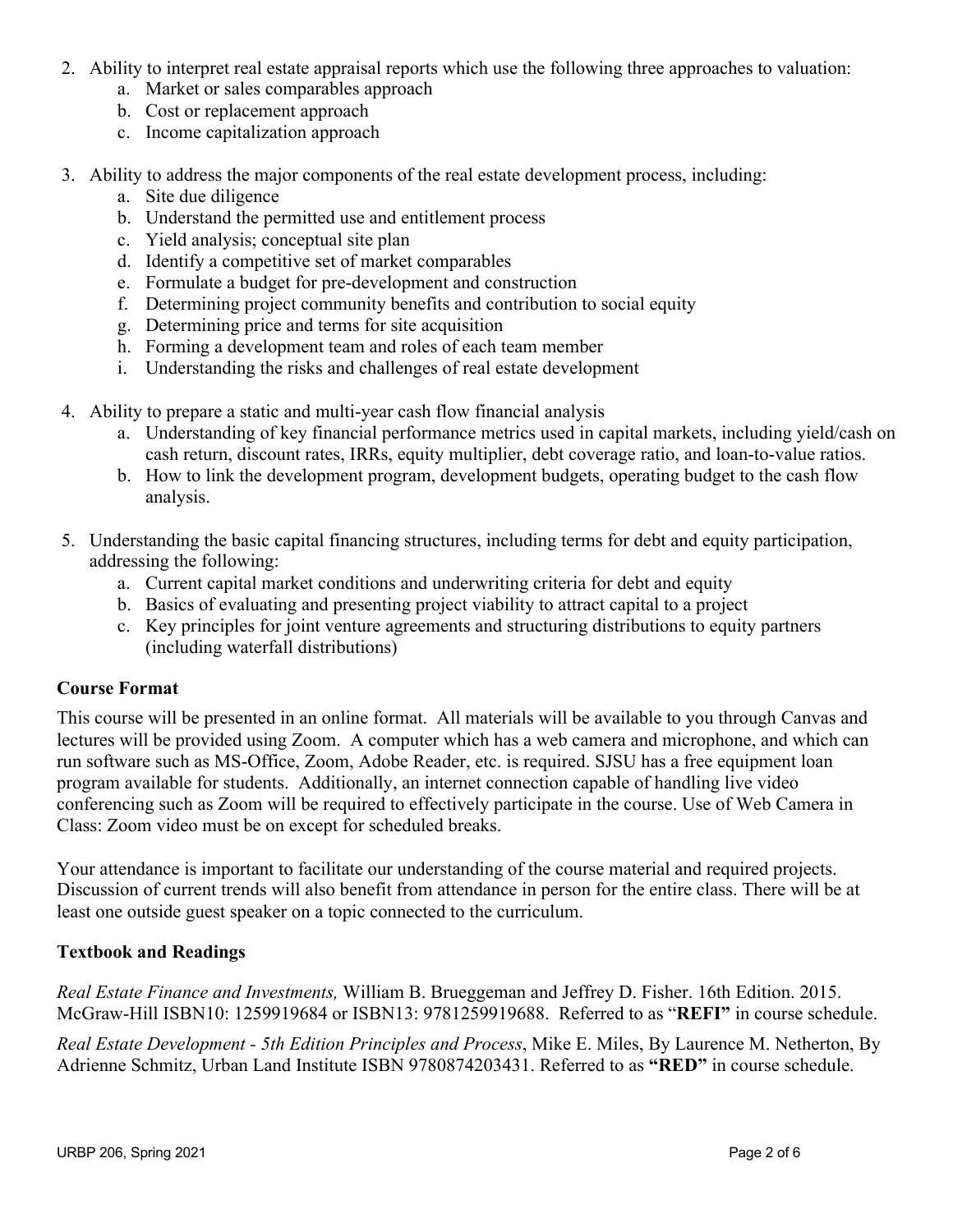- 2. Ability to interpret real estate appraisal reports which use the following three approaches to valuation:
	- a. Market or sales comparables approach
	- b. Cost or replacement approach
	- c. Income capitalization approach
- 3. Ability to address the major components of the real estate development process, including:
	- a. Site due diligence
	- b. Understand the permitted use and entitlement process
	- c. Yield analysis; conceptual site plan
	- d. Identify a competitive set of market comparables
	- e. Formulate a budget for pre-development and construction
	- f. Determining project community benefits and contribution to social equity
	- g. Determining price and terms for site acquisition
	- h. Forming a development team and roles of each team member
	- i. Understanding the risks and challenges of real estate development
- 4. Ability to prepare a static and multi-year cash flow financial analysis
	- a. Understanding of key financial performance metrics used in capital markets, including yield/cash on cash return, discount rates, IRRs, equity multiplier, debt coverage ratio, and loan-to-value ratios.
	- b. How to link the development program, development budgets, operating budget to the cash flow analysis.
- 5. Understanding the basic capital financing structures, including terms for debt and equity participation, addressing the following:
	- a. Current capital market conditions and underwriting criteria for debt and equity
	- b. Basics of evaluating and presenting project viability to attract capital to a project
	- c. Key principles for joint venture agreements and structuring distributions to equity partners (including waterfall distributions)

#### **Course Format**

This course will be presented in an online format. All materials will be available to you through Canvas and lectures will be provided using Zoom. A computer which has a web camera and microphone, and which can run software such as MS-Office, Zoom, Adobe Reader, etc. is required. SJSU has a free equipment loan program available for students. Additionally, an internet connection capable of handling live video conferencing such as Zoom will be required to effectively participate in the course. Use of Web Camera in Class: Zoom video must be on except for scheduled breaks.

Your attendance is important to facilitate our understanding of the course material and required projects. Discussion of current trends will also benefit from attendance in person for the entire class. There will be at least one outside guest speaker on a topic connected to the curriculum.

#### **Textbook and Readings**

*Real Estate Finance and Investments,* William B. Brueggeman and Jeffrey D. Fisher. 16th Edition. 2015. McGraw-Hill ISBN10: 1259919684 or ISBN13: 9781259919688. Referred to as "**REFI"** in course schedule.

*Real Estate Development - 5th Edition Principles and Process*, Mike E. Miles, By Laurence M. Netherton, By Adrienne Schmitz, Urban Land Institute ISBN 9780874203431. Referred to as **"RED"** in course schedule.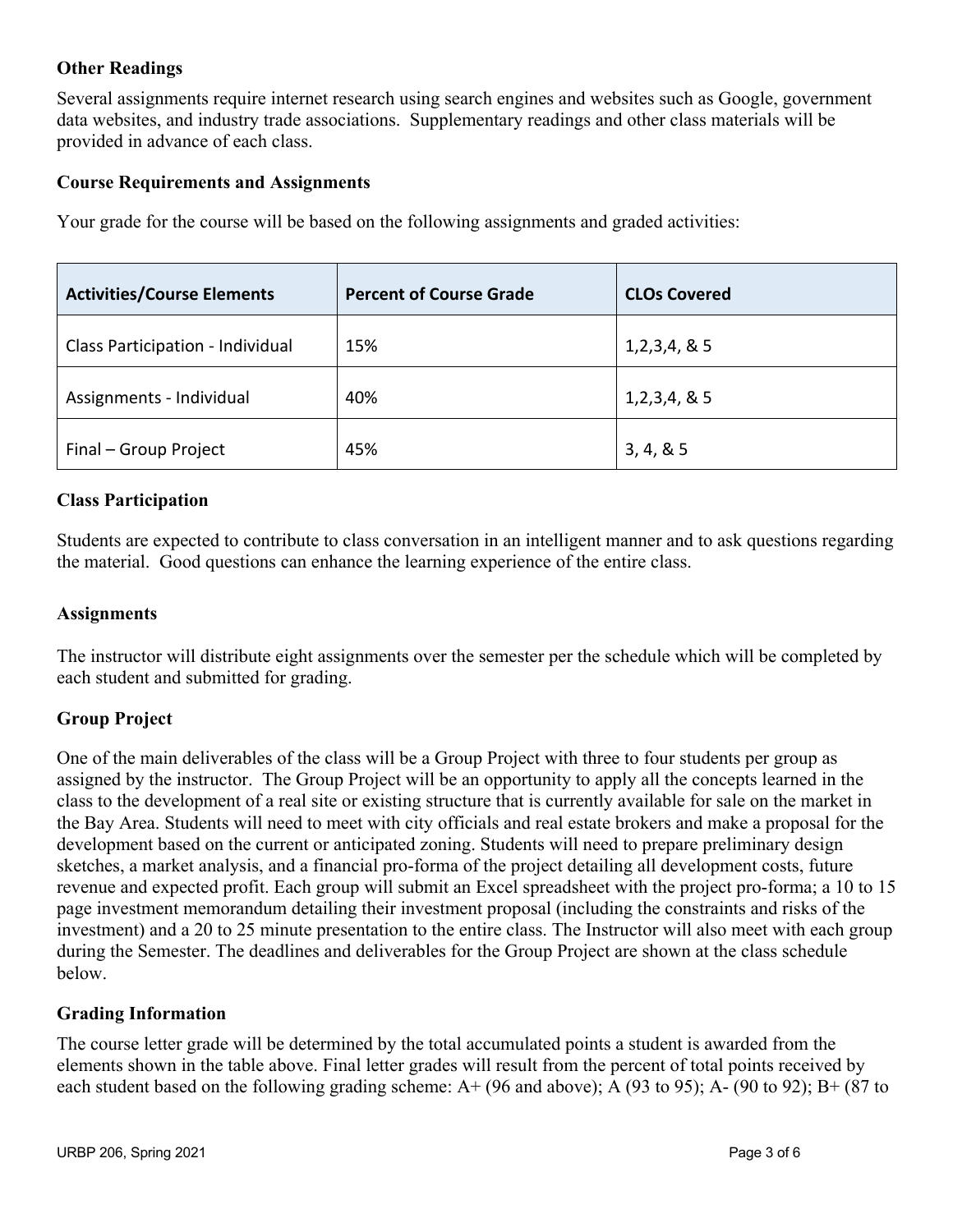## **Other Readings**

Several assignments require internet research using search engines and websites such as Google, government data websites, and industry trade associations. Supplementary readings and other class materials will be provided in advance of each class.

#### **Course Requirements and Assignments**

Your grade for the course will be based on the following assignments and graded activities:

| <b>Activities/Course Elements</b> | <b>Percent of Course Grade</b> | <b>CLOs Covered</b> |
|-----------------------------------|--------------------------------|---------------------|
| Class Participation - Individual  | 15%                            | 1,2,3,4,8,5         |
| Assignments - Individual          | 40%                            | 1,2,3,4,8,5         |
| Final - Group Project             | 45%                            | 3, 4, 8, 5          |

## **Class Participation**

Students are expected to contribute to class conversation in an intelligent manner and to ask questions regarding the material. Good questions can enhance the learning experience of the entire class.

#### **Assignments**

The instructor will distribute eight assignments over the semester per the schedule which will be completed by each student and submitted for grading.

#### **Group Project**

One of the main deliverables of the class will be a Group Project with three to four students per group as assigned by the instructor. The Group Project will be an opportunity to apply all the concepts learned in the class to the development of a real site or existing structure that is currently available for sale on the market in the Bay Area. Students will need to meet with city officials and real estate brokers and make a proposal for the development based on the current or anticipated zoning. Students will need to prepare preliminary design sketches, a market analysis, and a financial pro-forma of the project detailing all development costs, future revenue and expected profit. Each group will submit an Excel spreadsheet with the project pro-forma; a 10 to 15 page investment memorandum detailing their investment proposal (including the constraints and risks of the investment) and a 20 to 25 minute presentation to the entire class. The Instructor will also meet with each group during the Semester. The deadlines and deliverables for the Group Project are shown at the class schedule below.

#### **Grading Information**

The course letter grade will be determined by the total accumulated points a student is awarded from the elements shown in the table above. Final letter grades will result from the percent of total points received by each student based on the following grading scheme:  $A+ (96$  and above); A  $(93$  to 95); A- $(90$  to 92); B+ $(87$  to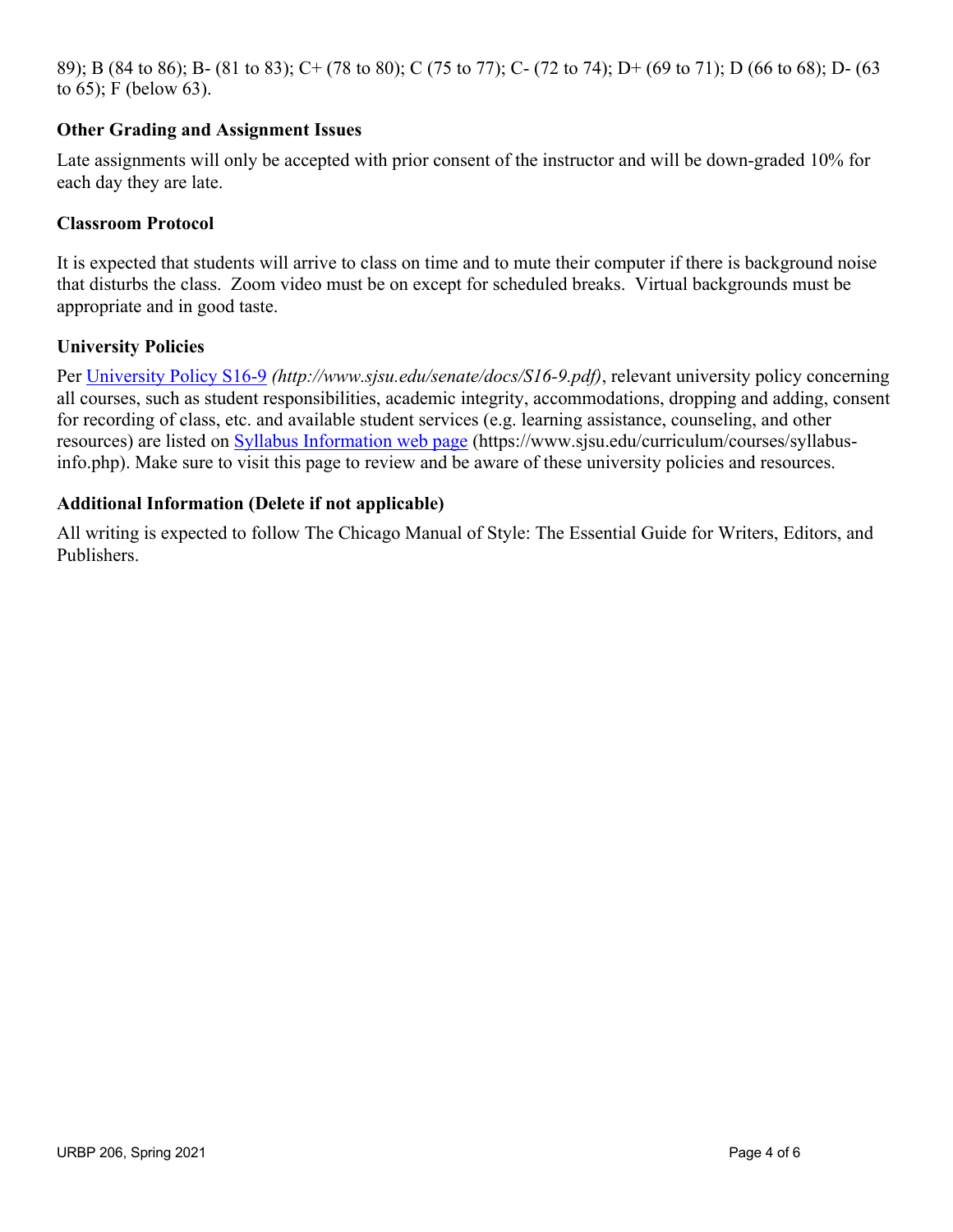89); B (84 to 86); B- (81 to 83); C+ (78 to 80); C (75 to 77); C- (72 to 74); D+ (69 to 71); D (66 to 68); D- (63 to 65); F (below 63).

## **Other Grading and Assignment Issues**

Late assignments will only be accepted with prior consent of the instructor and will be down-graded 10% for each day they are late.

## **Classroom Protocol**

It is expected that students will arrive to class on time and to mute their computer if there is background noise that disturbs the class. Zoom video must be on except for scheduled breaks. Virtual backgrounds must be appropriate and in good taste.

## **University Policies**

Per University Policy S16-9 *(http://www.sjsu.edu/senate/docs/S16-9.pdf)*, relevant university policy concerning all courses, such as student responsibilities, academic integrity, accommodations, dropping and adding, consent for recording of class, etc. and available student services (e.g. learning assistance, counseling, and other resources) are listed on Syllabus Information web page (https://www.sjsu.edu/curriculum/courses/syllabusinfo.php). Make sure to visit this page to review and be aware of these university policies and resources.

## **Additional Information (Delete if not applicable)**

All writing is expected to follow The Chicago Manual of Style: The Essential Guide for Writers, Editors, and Publishers.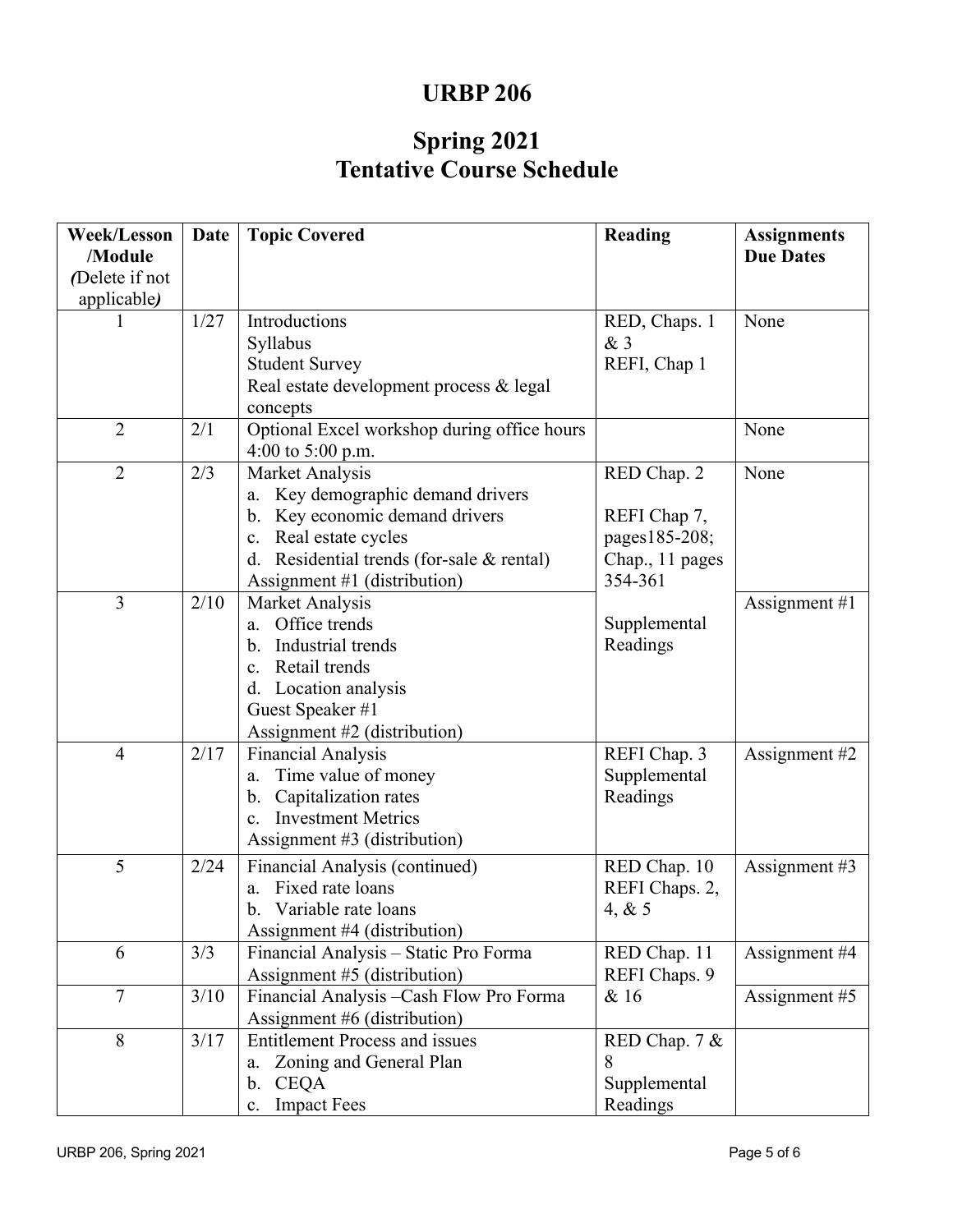# **URBP 206**

## **Spring 2021 Tentative Course Schedule**

| <b>Week/Lesson</b> | Date | <b>Topic Covered</b>                          | <b>Reading</b>  | <b>Assignments</b> |
|--------------------|------|-----------------------------------------------|-----------------|--------------------|
| /Module            |      |                                               |                 | <b>Due Dates</b>   |
| (Delete if not     |      |                                               |                 |                    |
| applicable)        |      |                                               |                 |                    |
|                    | 1/27 | Introductions                                 | RED, Chaps. 1   | None               |
|                    |      | Syllabus                                      | &3              |                    |
|                    |      | <b>Student Survey</b>                         | REFI, Chap 1    |                    |
|                    |      | Real estate development process & legal       |                 |                    |
|                    |      | concepts                                      |                 |                    |
| $\overline{2}$     | 2/1  | Optional Excel workshop during office hours   |                 | None               |
|                    |      | 4:00 to 5:00 p.m.                             |                 |                    |
| $\overline{2}$     | 2/3  | Market Analysis                               | RED Chap. 2     | None               |
|                    |      | Key demographic demand drivers<br>a.          |                 |                    |
|                    |      | Key economic demand drivers<br>$\mathbf{b}$ . | REFI Chap 7,    |                    |
|                    |      | Real estate cycles<br>c.                      | pages185-208;   |                    |
|                    |      | d. Residential trends (for-sale $&$ rental)   | Chap., 11 pages |                    |
|                    |      | Assignment #1 (distribution)                  | 354-361         |                    |
| $\overline{3}$     | 2/10 | Market Analysis                               |                 | Assignment $#1$    |
|                    |      | Office trends<br>a.                           | Supplemental    |                    |
|                    |      | Industrial trends<br>b.                       | Readings        |                    |
|                    |      | Retail trends<br>$\mathbf{c}$ .               |                 |                    |
|                    |      | Location analysis<br>d.                       |                 |                    |
|                    |      | Guest Speaker #1                              |                 |                    |
|                    |      | Assignment #2 (distribution)                  |                 |                    |
| $\overline{4}$     | 2/17 | <b>Financial Analysis</b>                     | REFI Chap. 3    | Assignment #2      |
|                    |      | Time value of money<br>a.                     | Supplemental    |                    |
|                    |      | Capitalization rates<br>b.                    | Readings        |                    |
|                    |      | <b>Investment Metrics</b><br>$c_{\cdot}$      |                 |                    |
|                    |      | Assignment $#3$ (distribution)                |                 |                    |
| 5                  | 2/24 | Financial Analysis (continued)                | RED Chap. 10    | Assignment #3      |
|                    |      | Fixed rate loans<br>a.                        | REFI Chaps. 2,  |                    |
|                    |      | b. Variable rate loans                        | 4, & 5          |                    |
|                    |      | Assignment #4 (distribution)                  |                 |                    |
| 6                  | 3/3  | Financial Analysis - Static Pro Forma         | RED Chap. 11    | Assignment #4      |
|                    |      | Assignment #5 (distribution)                  | REFI Chaps. 9   |                    |
| $\overline{7}$     | 3/10 | Financial Analysis - Cash Flow Pro Forma      | & 16            | Assignment #5      |
|                    |      | Assignment #6 (distribution)                  |                 |                    |
| 8                  | 3/17 | <b>Entitlement Process and issues</b>         | RED Chap. 7 &   |                    |
|                    |      | Zoning and General Plan<br>a.                 | 8               |                    |
|                    |      | <b>CEQA</b><br>b.                             | Supplemental    |                    |
|                    |      | c. Impact Fees                                | Readings        |                    |